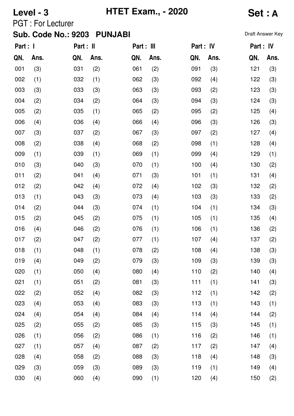**Level - 3 HTET Exam., - 2020 Set : A**

PGT : For Lecturer

| Part : I |      | Part : II |      | Part : III |      | Part : IV |      | Part : IV |      |
|----------|------|-----------|------|------------|------|-----------|------|-----------|------|
| QN.      | Ans. | QN.       | Ans. | QN.        | Ans. | QN.       | Ans. | QN.       | Ans. |
| 001      | (3)  | 031       | (2)  | 061        | (2)  | 091       | (3)  | 121       | (3)  |
| 002      | (1)  | 032       | (1)  | 062        | (3)  | 092       | (4)  | 122       | (3)  |
| 003      | (3)  | 033       | (3)  | 063        | (3)  | 093       | (2)  | 123       | (3)  |
| 004      | (2)  | 034       | (2)  | 064        | (3)  | 094       | (3)  | 124       | (3)  |
| 005      | (2)  | 035       | (1)  | 065        | (2)  | 095       | (2)  | 125       | (4)  |
| 006      | (4)  | 036       | (4)  | 066        | (4)  | 096       | (3)  | 126       | (3)  |
| 007      | (3)  | 037       | (2)  | 067        | (3)  | 097       | (2)  | 127       | (4)  |
| 008      | (2)  | 038       | (4)  | 068        | (2)  | 098       | (1)  | 128       | (4)  |
| 009      | (1)  | 039       | (1)  | 069        | (1)  | 099       | (4)  | 129       | (1)  |
| 010      | (3)  | 040       | (3)  | 070        | (1)  | 100       | (4)  | 130       | (2)  |
| 011      | (2)  | 041       | (4)  | 071        | (3)  | 101       | (1)  | 131       | (4)  |
| 012      | (2)  | 042       | (4)  | 072        | (4)  | 102       | (3)  | 132       | (2)  |
| 013      | (1)  | 043       | (3)  | 073        | (4)  | 103       | (3)  | 133       | (2)  |
| 014      | (2)  | 044       | (3)  | 074        | (1)  | 104       | (1)  | 134       | (3)  |
| 015      | (2)  | 045       | (2)  | 075        | (1)  | 105       | (1)  | 135       | (4)  |
| 016      | (4)  | 046       | (2)  | 076        | (1)  | 106       | (1)  | 136       | (2)  |
| 017      | (2)  | 047       | (2)  | 077        | (1)  | 107       | (4)  | 137       | (2)  |
| 018      | (1)  | 048       | (1)  | 078        | (2)  | 108       | (4)  | 138       | (3)  |
| 019      | (4)  | 049       | (2)  | 079        | (3)  | 109       | (3)  | 139       | (3)  |
| 020      | (1)  | 050       | (4)  | 080        | (4)  | 110       | (2)  | 140       | (4)  |
| 021      | (1)  | 051       | (2)  | 081        | (3)  | 111       | (1)  | 141       | (3)  |
| 022      | (2)  | 052       | (4)  | 082        | (3)  | 112       | (1)  | 142       | (2)  |
| 023      | (4)  | 053       | (4)  | 083        | (3)  | 113       | (1)  | 143       | (1)  |
| 024      | (4)  | 054       | (4)  | 084        | (4)  | 114       | (4)  | 144       | (2)  |
| 025      | (2)  | 055       | (2)  | 085        | (3)  | 115       | (3)  | 145       | (1)  |
| 026      | (1)  | 056       | (2)  | 086        | (1)  | 116       | (2)  | 146       | (1)  |
| 027      | (1)  | 057       | (4)  | 087        | (2)  | 117       | (2)  | 147       | (4)  |
| 028      | (4)  | 058       | (2)  | 088        | (3)  | 118       | (4)  | 148       | (3)  |
| 029      | (3)  | 059       | (3)  | 089        | (3)  | 119       | (1)  | 149       | (4)  |
| 030      | (4)  | 060       | (4)  | 090        | (1)  | 120       | (4)  | 150       | (2)  |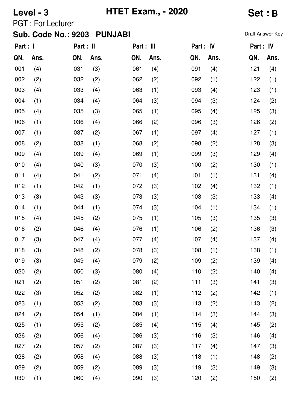**Level - 3 HTET Exam., - 2020 Set : B**

PGT : For Lecturer

| Part : I |      | Part : II |      | Part : III |      | Part : IV |      | Part : IV |      |
|----------|------|-----------|------|------------|------|-----------|------|-----------|------|
| QN.      | Ans. | QN.       | Ans. | QN.        | Ans. | QN.       | Ans. | QN.       | Ans. |
| 001      | (4)  | 031       | (3)  | 061        | (4)  | 091       | (4)  | 121       | (4)  |
| 002      | (2)  | 032       | (2)  | 062        | (2)  | 092       | (1)  | 122       | (1)  |
| 003      | (4)  | 033       | (4)  | 063        | (1)  | 093       | (4)  | 123       | (1)  |
| 004      | (1)  | 034       | (4)  | 064        | (3)  | 094       | (3)  | 124       | (2)  |
| 005      | (4)  | 035       | (3)  | 065        | (1)  | 095       | (4)  | 125       | (3)  |
| 006      | (1)  | 036       | (4)  | 066        | (2)  | 096       | (3)  | 126       | (2)  |
| 007      | (1)  | 037       | (2)  | 067        | (1)  | 097       | (4)  | 127       | (1)  |
| 008      | (2)  | 038       | (1)  | 068        | (2)  | 098       | (2)  | 128       | (3)  |
| 009      | (4)  | 039       | (4)  | 069        | (1)  | 099       | (3)  | 129       | (4)  |
| 010      | (4)  | 040       | (3)  | 070        | (3)  | 100       | (2)  | 130       | (1)  |
| 011      | (4)  | 041       | (2)  | 071        | (4)  | 101       | (1)  | 131       | (4)  |
| 012      | (1)  | 042       | (1)  | 072        | (3)  | 102       | (4)  | 132       | (1)  |
| 013      | (3)  | 043       | (3)  | 073        | (3)  | 103       | (3)  | 133       | (4)  |
| 014      | (1)  | 044       | (1)  | 074        | (3)  | 104       | (1)  | 134       | (1)  |
| 015      | (4)  | 045       | (2)  | 075        | (1)  | 105       | (3)  | 135       | (3)  |
| 016      | (2)  | 046       | (4)  | 076        | (1)  | 106       | (2)  | 136       | (3)  |
| 017      | (3)  | 047       | (4)  | 077        | (4)  | 107       | (4)  | 137       | (4)  |
| 018      | (3)  | 048       | (2)  | 078        | (3)  | 108       | (1)  | 138       | (1)  |
| 019      | (3)  | 049       | (4)  | 079        | (2)  | 109       | (2)  | 139       | (4)  |
| 020      | (2)  | 050       | (3)  | 080        | (4)  | 110       | (2)  | 140       | (4)  |
| 021      | (2)  | 051       | (2)  | 081        | (2)  | 111       | (3)  | 141       | (3)  |
| 022      | (3)  | 052       | (2)  | 082        | (1)  | 112       | (2)  | 142       | (1)  |
| 023      | (1)  | 053       | (2)  | 083        | (3)  | 113       | (2)  | 143       | (2)  |
| 024      | (2)  | 054       | (1)  | 084        | (1)  | 114       | (3)  | 144       | (3)  |
| 025      | (1)  | 055       | (2)  | 085        | (4)  | 115       | (4)  | 145       | (2)  |
| 026      | (2)  | 056       | (4)  | 086        | (3)  | 116       | (3)  | 146       | (4)  |
| 027      | (2)  | 057       | (2)  | 087        | (3)  | 117       | (4)  | 147       | (3)  |
| 028      | (2)  | 058       | (4)  | 088        | (3)  | 118       | (1)  | 148       | (2)  |
| 029      | (2)  | 059       | (2)  | 089        | (3)  | 119       | (3)  | 149       | (3)  |
| 030      | (1)  | 060       | (4)  | 090        | (3)  | 120       | (2)  | 150       | (2)  |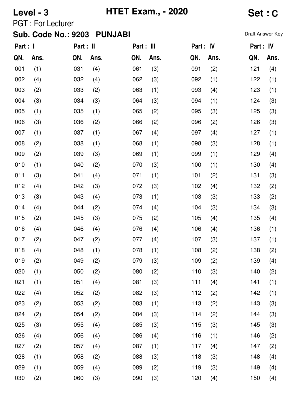**Level - 3 HTET Exam., - 2020 Set : C**

PGT : For Lecturer

| Part : I |      | Part : II |      | Part : III |      | Part : IV |      | Part : IV |      |
|----------|------|-----------|------|------------|------|-----------|------|-----------|------|
| QN.      | Ans. | QN.       | Ans. | QN.        | Ans. | QN.       | Ans. | QN.       | Ans. |
| 001      | (1)  | 031       | (4)  | 061        | (3)  | 091       | (2)  | 121       | (4)  |
| 002      | (4)  | 032       | (4)  | 062        | (3)  | 092       | (1)  | 122       | (1)  |
| 003      | (2)  | 033       | (2)  | 063        | (1)  | 093       | (4)  | 123       | (1)  |
| 004      | (3)  | 034       | (3)  | 064        | (3)  | 094       | (1)  | 124       | (3)  |
| 005      | (1)  | 035       | (1)  | 065        | (2)  | 095       | (3)  | 125       | (3)  |
| 006      | (3)  | 036       | (2)  | 066        | (2)  | 096       | (2)  | 126       | (3)  |
| 007      | (1)  | 037       | (1)  | 067        | (4)  | 097       | (4)  | 127       | (1)  |
| 008      | (2)  | 038       | (1)  | 068        | (1)  | 098       | (3)  | 128       | (1)  |
| 009      | (2)  | 039       | (3)  | 069        | (1)  | 099       | (1)  | 129       | (4)  |
| 010      | (1)  | 040       | (2)  | 070        | (3)  | 100       | (1)  | 130       | (4)  |
| 011      | (3)  | 041       | (4)  | 071        | (1)  | 101       | (2)  | 131       | (3)  |
| 012      | (4)  | 042       | (3)  | 072        | (3)  | 102       | (4)  | 132       | (2)  |
| 013      | (3)  | 043       | (4)  | 073        | (1)  | 103       | (3)  | 133       | (2)  |
| 014      | (4)  | 044       | (2)  | 074        | (4)  | 104       | (3)  | 134       | (3)  |
| 015      | (2)  | 045       | (3)  | 075        | (2)  | 105       | (4)  | 135       | (4)  |
| 016      | (4)  | 046       | (4)  | 076        | (4)  | 106       | (4)  | 136       | (1)  |
| 017      | (2)  | 047       | (2)  | 077        | (4)  | 107       | (3)  | 137       | (1)  |
| 018      | (4)  | 048       | (1)  | 078        | (1)  | 108       | (2)  | 138       | (2)  |
| 019      | (2)  | 049       | (2)  | 079        | (3)  | 109       | (2)  | 139       | (4)  |
| 020      | (1)  | 050       | (2)  | 080        | (2)  | 110       | (3)  | 140       | (2)  |
| 021      | (1)  | 051       | (4)  | 081        | (3)  | 111       | (4)  | 141       | (1)  |
| 022      | (4)  | 052       | (2)  | 082        | (3)  | 112       | (2)  | 142       | (1)  |
| 023      | (2)  | 053       | (2)  | 083        | (1)  | 113       | (2)  | 143       | (3)  |
| 024      | (2)  | 054       | (2)  | 084        | (3)  | 114       | (2)  | 144       | (3)  |
| 025      | (3)  | 055       | (4)  | 085        | (3)  | 115       | (3)  | 145       | (3)  |
| 026      | (4)  | 056       | (4)  | 086        | (4)  | 116       | (1)  | 146       | (2)  |
| 027      | (2)  | 057       | (4)  | 087        | (1)  | 117       | (4)  | 147       | (2)  |
| 028      | (1)  | 058       | (2)  | 088        | (3)  | 118       | (3)  | 148       | (4)  |
| 029      | (1)  | 059       | (4)  | 089        | (2)  | 119       | (3)  | 149       | (4)  |
| 030      | (2)  | 060       | (3)  | 090        | (3)  | 120       | (4)  | 150       | (4)  |